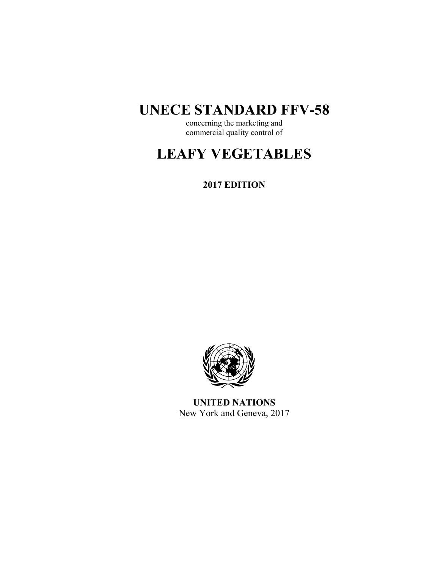## **UNECE STANDARD FFV-58**

concerning the marketing and commercial quality control of

# **LEAFY VEGETABLES**

**2017 EDITION** 



**UNITED NATIONS**  New York and Geneva, 2017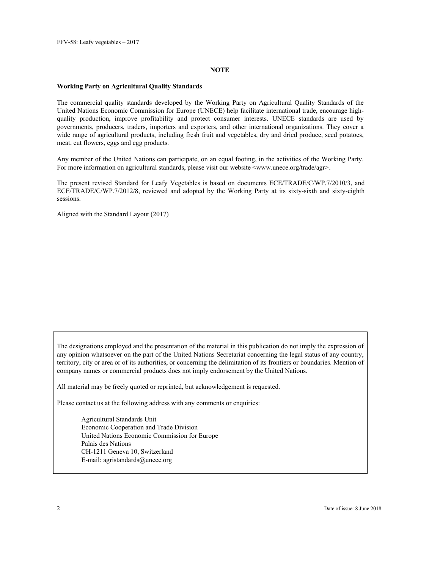#### **NOTE**

#### **Working Party on Agricultural Quality Standards**

The commercial quality standards developed by the Working Party on Agricultural Quality Standards of the United Nations Economic Commission for Europe (UNECE) help facilitate international trade, encourage highquality production, improve profitability and protect consumer interests. UNECE standards are used by governments, producers, traders, importers and exporters, and other international organizations. They cover a wide range of agricultural products, including fresh fruit and vegetables, dry and dried produce, seed potatoes, meat, cut flowers, eggs and egg products.

Any member of the United Nations can participate, on an equal footing, in the activities of the Working Party. For more information on agricultural standards, please visit our website <www.unece.org/trade/agr>.

The present revised Standard for Leafy Vegetables is based on documents ECE/TRADE/C/WP.7/2010/3, and ECE/TRADE/C/WP.7/2012/8, reviewed and adopted by the Working Party at its sixty-sixth and sixty-eighth sessions.

Aligned with the Standard Layout (2017)

The designations employed and the presentation of the material in this publication do not imply the expression of any opinion whatsoever on the part of the United Nations Secretariat concerning the legal status of any country, territory, city or area or of its authorities, or concerning the delimitation of its frontiers or boundaries. Mention of company names or commercial products does not imply endorsement by the United Nations.

All material may be freely quoted or reprinted, but acknowledgement is requested.

Please contact us at the following address with any comments or enquiries:

Agricultural Standards Unit Economic Cooperation and Trade Division United Nations Economic Commission for Europe Palais des Nations CH-1211 Geneva 10, Switzerland E-mail: agristandards@unece.org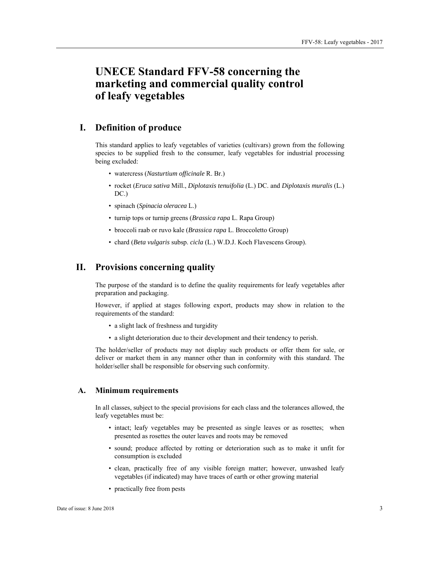## **UNECE Standard FFV-58 concerning the marketing and commercial quality control of leafy vegetables**

## **I. Definition of produce**

This standard applies to leafy vegetables of varieties (cultivars) grown from the following species to be supplied fresh to the consumer, leafy vegetables for industrial processing being excluded:

- watercress (*Nasturtium officinale* R. Br.)
- rocket (*Eruca sativa* Mill., *Diplotaxis tenuifolia* (L.) DC. and *Diplotaxis muralis* (L.) DC.)
- spinach (*Spinacia oleracea* L.)
- turnip tops or turnip greens (*Brassica rapa* L. Rapa Group)
- broccoli raab or ruvo kale (*Brassica rapa* L. Broccoletto Group)
- chard (*Beta vulgaris* subsp. *cicla* (L.) W.D.J. Koch Flavescens Group).

## **II. Provisions concerning quality**

The purpose of the standard is to define the quality requirements for leafy vegetables after preparation and packaging.

However, if applied at stages following export, products may show in relation to the requirements of the standard:

- a slight lack of freshness and turgidity
- a slight deterioration due to their development and their tendency to perish.

The holder/seller of products may not display such products or offer them for sale, or deliver or market them in any manner other than in conformity with this standard. The holder/seller shall be responsible for observing such conformity.

#### **A. Minimum requirements**

In all classes, subject to the special provisions for each class and the tolerances allowed, the leafy vegetables must be:

- intact; leafy vegetables may be presented as single leaves or as rosettes; when presented as rosettes the outer leaves and roots may be removed
- sound; produce affected by rotting or deterioration such as to make it unfit for consumption is excluded
- clean, practically free of any visible foreign matter; however, unwashed leafy vegetables (if indicated) may have traces of earth or other growing material
- practically free from pests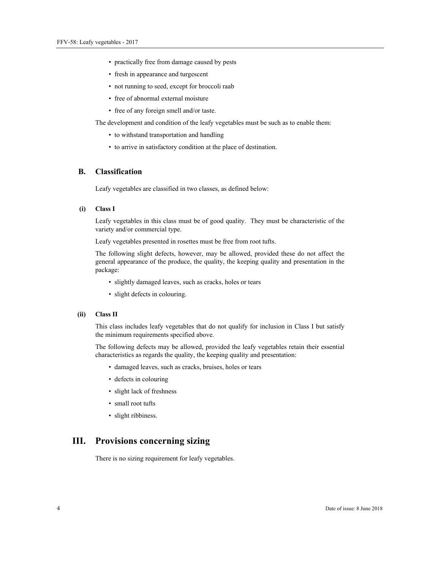- practically free from damage caused by pests
- fresh in appearance and turgescent
- not running to seed, except for broccoli raab
- free of abnormal external moisture
- free of any foreign smell and/or taste.

The development and condition of the leafy vegetables must be such as to enable them:

- to withstand transportation and handling
- to arrive in satisfactory condition at the place of destination.

## **B. Classification**

Leafy vegetables are classified in two classes, as defined below:

#### **(i) Class I**

Leafy vegetables in this class must be of good quality. They must be characteristic of the variety and/or commercial type.

Leafy vegetables presented in rosettes must be free from root tufts.

The following slight defects, however, may be allowed, provided these do not affect the general appearance of the produce, the quality, the keeping quality and presentation in the package:

- slightly damaged leaves, such as cracks, holes or tears
- slight defects in colouring.

#### **(ii) Class II**

This class includes leafy vegetables that do not qualify for inclusion in Class I but satisfy the minimum requirements specified above.

The following defects may be allowed, provided the leafy vegetables retain their essential characteristics as regards the quality, the keeping quality and presentation:

- damaged leaves, such as cracks, bruises, holes or tears
- defects in colouring
- slight lack of freshness
- small root tufts
- slight ribbiness.

## **III. Provisions concerning sizing**

There is no sizing requirement for leafy vegetables.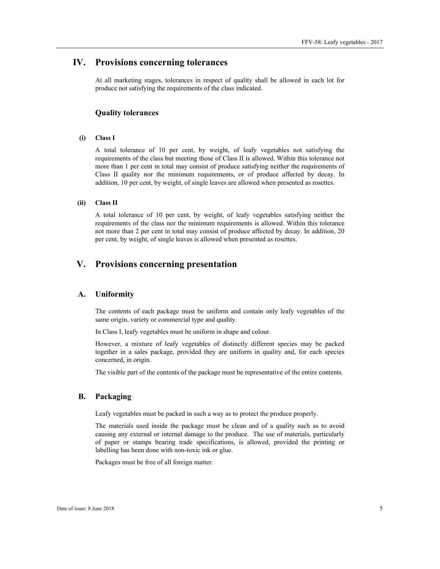## **IV. Provisions concerning tolerances**

At all marketing stages, tolerances in respect of quality shall be allowed in each lot for produce not satisfying the requirements of the class indicated.

#### **Quality tolerances**

#### **(i) Class I**

A total tolerance of 10 per cent, by weight, of leafy vegetables not satisfying the requirements of the class but meeting those of Class II is allowed. Within this tolerance not more than 1 per cent in total may consist of produce satisfying neither the requirements of Class II quality nor the minimum requirements, or of produce affected by decay. In addition, 10 per cent, by weight, of single leaves are allowed when presented as rosettes.

#### **(ii) Class II**

A total tolerance of 10 per cent, by weight, of leafy vegetables satisfying neither the requirements of the class nor the minimum requirements is allowed. Within this tolerance not more than 2 per cent in total may consist of produce affected by decay. In addition, 20 per cent, by weight, of single leaves is allowed when presented as rosettes.

## **V. Provisions concerning presentation**

#### **A. Uniformity**

The contents of each package must be uniform and contain only leafy vegetables of the same origin, variety or commercial type and quality.

In Class I, leafy vegetables must be uniform in shape and colour.

However, a mixture of leafy vegetables of distinctly different species may be packed together in a sales package, provided they are uniform in quality and, for each species concerned, in origin.

The visible part of the contents of the package must be representative of the entire contents.

#### **B. Packaging**

Leafy vegetables must be packed in such a way as to protect the produce properly.

The materials used inside the package must be clean and of a quality such as to avoid causing any external or internal damage to the produce. The use of materials, particularly of paper or stamps bearing trade specifications, is allowed, provided the printing or labelling has been done with non-toxic ink or glue.

Packages must be free of all foreign matter.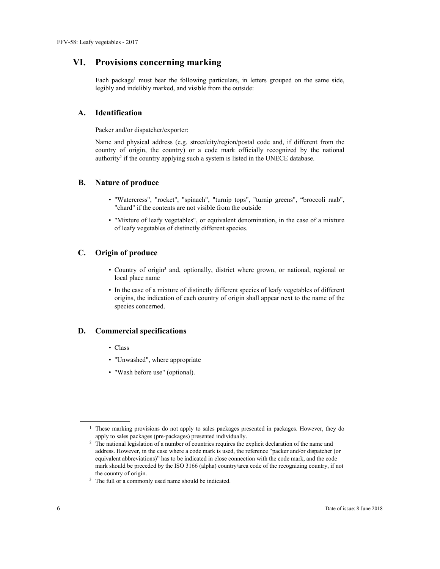## **VI. Provisions concerning marking**

Each package<sup>1</sup> must bear the following particulars, in letters grouped on the same side, legibly and indelibly marked, and visible from the outside:

### **A. Identification**

Packer and/or dispatcher/exporter:

Name and physical address (e.g. street/city/region/postal code and, if different from the country of origin, the country) or a code mark officially recognized by the national authority<sup>2</sup> if the country applying such a system is listed in the UNECE database.

#### **B. Nature of produce**

- "Watercress", "rocket", "spinach", "turnip tops", "turnip greens", "broccoli raab", "chard" if the contents are not visible from the outside
- "Mixture of leafy vegetables", or equivalent denomination, in the case of a mixture of leafy vegetables of distinctly different species.

## **C. Origin of produce**

- Country of origin<sup>3</sup> and, optionally, district where grown, or national, regional or local place name
- In the case of a mixture of distinctly different species of leafy vegetables of different origins, the indication of each country of origin shall appear next to the name of the species concerned.

#### **D. Commercial specifications**

- Class
- "Unwashed", where appropriate
- "Wash before use" (optional).

 $\overline{a}$ 

<sup>&</sup>lt;sup>1</sup> These marking provisions do not apply to sales packages presented in packages. However, they do apply to sales packages (pre-packages) presented individually. 2 The national legislation of a number of countries requires the explicit declaration of the name and

address. However, in the case where a code mark is used, the reference "packer and/or dispatcher (or equivalent abbreviations)" has to be indicated in close connection with the code mark, and the code mark should be preceded by the ISO 3166 (alpha) country/area code of the recognizing country, if not the country of origin.<br><sup>3</sup> The full or a commonly used name should be indicated.